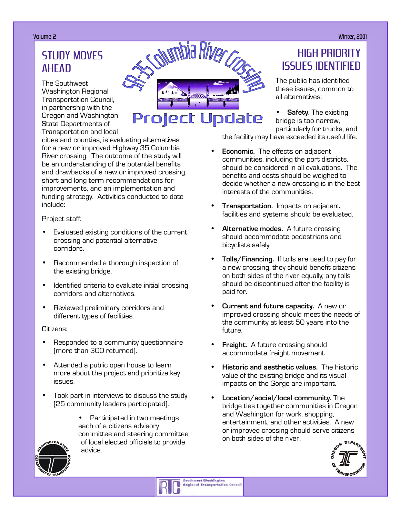# STUDY MOVES AHEAD

The Southwest Washington Regional Transportation Council, in partnership with the Oregon and Washington State Departments of Transportation and local

Volume 2 Winter, 2001**CONTING Biver** Project Update

cities and counties, is evaluating alternatives for a new or improved Highway 35 Columbia River crossing. The outcome of the study will be an understanding of the potential benefits and drawbacks of a new or improved crossing, short and long term recommendations for improvements, and an implementation and funding strategy. Activities conducted to date include:

Project staff:

- Evaluated existing conditions of the current crossing and potential alternative corridors.
- Recommended a thorough inspection of the existing bridge.
- Identified criteria to evaluate initial crossing corridors and alternatives.
- Reviewed preliminary corridors and different types of facilities.

#### Citizens:

- Responded to a community questionnaire (more than 300 returned).
- Attended a public open house to learn more about the project and prioritize key issues.
- Took part in interviews to discuss the study (25 community leaders participated).





### HIGH PRIORITY ISSUES IDENTIFIED

The public has identified these issues, common to all alternatives:

**Safety.** The existing bridge is too narrow, particularly for trucks, and the facility may have exceeded its useful life.

• **Economic.** The effects on adjacent communities, including the port districts, should be considered in all evaluations. The benefits and costs should be weighed to decide whether a new crossing is in the best

- **Transportation.** Impacts on adjacent facilities and systems should be evaluated.
- **Alternative modes.** A future crossing should accommodate pedestrians and bicyclists safely.

interests of the communities.

- **Tolls/Financing.** If tolls are used to pay for a new crossing, they should benefit citizens on both sides of the river equally; any tolls should be discontinued after the facility is paid for.
- **Current and future capacity.** A new or improved crossing should meet the needs of the community at least 50 years into the future.
- **Freight.** A future crossing should accommodate freight movement.
- **Historic and aesthetic values.** The historic value of the existing bridge and its visual impacts on the Gorge are important.
- **Location/social/local community.** The bridge ties together communities in Oregon and Washington for work, shopping, entertainment, and other activities. A new or improved crossing should serve citizens on both sides of the river.

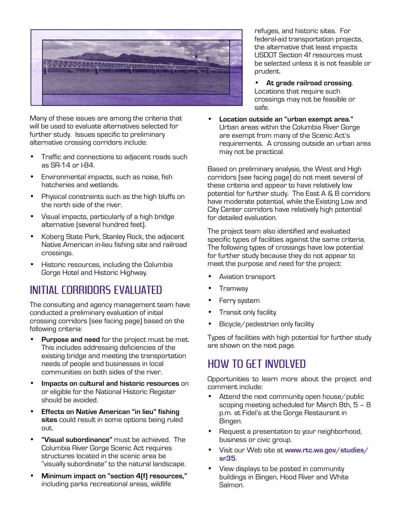

Many of these issues are among the criteria that will be used to evaluate alternatives selected for further study. Issues specific to preliminary alternative crossing corridors include:

- Traffic and connections to adjacent roads such as SR-14 or I-84.
- Environmental impacts, such as noise, fish hatcheries and wetlands.
- Physical constraints such as the high bluffs on the north side of the river.
- Visual impacts, particularly of a high bridge alternative (several hundred feet).
- Koberg State Park, Stanley Rock, the adjacent Native American in-lieu fishing site and railroad crossings.
- Historic resources, including the Columbia Gorge Hotel and Historic Highway.

### INITIAL CORRIDORS EVALUATED

The consulting and agency management team have conducted a preliminary evaluation of initial crossing corridors (see facing page) based on the following criteria:

- **Purpose and need** for the project must be met. This includes addressing deficiencies of the existing bridge and meeting the transportation needs of people and businesses in local communities on both sides of the river.
- **Impacts on cultural and historic resources** on or eligible for the National Historic Register should be avoided.
- **Effects on Native American "in lieu" fishing sites** could result in some options being ruled out.
- **"Visual subordinance"** must be achieved. The Columbia River Gorge Scenic Act requires structures located in the scenic area be "visually subordinate" to the natural landscape.
- **Minimum impact on "section 4(f) resources,"** including parks recreational areas, wildlife

refuges, and historic sites. For federal-aid transportation projects, the alternative that least impacts USDOT Section 4f resources must be selected unless it is not feasible or prudent.

- **At grade railroad crossing**. Locations that require such crossings may not be feasible or safe.
- **Location outside an "urban exempt area."** Urban areas within the Columbia River Gorge are exempt from many of the Scenic Act's requirements. A crossing outside an urban area may not be practical.

Based on preliminary analysis, the West and High corridors (see facing page) do not meet several of these criteria and appear to have relatively low potential for further study. The East A & B corridors have moderate potential, while the Existing Low and City Center corridors have relatively high potential for detailed evaluation.

The project team also identified and evaluated specific types of facilities against the same criteria. The following types of crossings have low potential for further study because they do not appear to meet the purpose and need for the project:

- Aviation transport
- Tramway
- Ferry system
- Transit only facility
- Bicycle/pedestrian only facility

Types of facilities with high potential for further study are shown on the next page.

### HOW TO GET INVOLVED

Opportunities to learn more about the project and comment include:

- Attend the next community open house/public scoping meeting scheduled for March 8th, 5 – 8 p.m. at Fidel's at the Gorge Restaurant in Bingen.
- Request a presentation to your neighborhood, business or civic group.
- Visit our Web site at **www.rtc.wa.gov/studies/ sr35**.
- View displays to be posted in community buildings in Bingen, Hood River and White Salmon.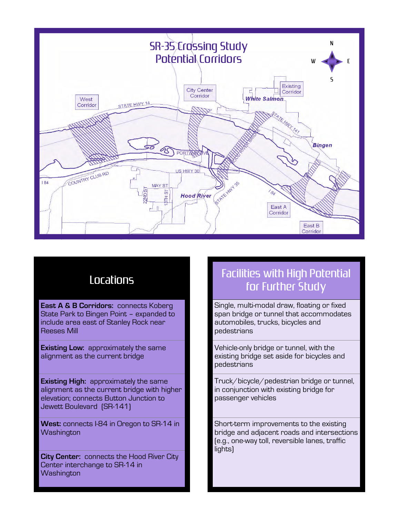

# Locations

**East A & B Corridors: connects Koberg** State Park to Bingen Point – expanded to include area east of Stanley Rock near Reeses Mill

**Existing Low:** approximately the same alignment as the current bridge

**Existing High:** approximately the same alignment as the current bridge with higher elevation; connects Button Junction to Jewett Boulevard (SR-141)

**West:** connects I-84 in Oregon to SR-14 in **Washington** 

**City Center:** connects the Hood River City Center interchange to SR-14 in **Washington** 

## Facilities with High Potential for Further Study

Single, multi-modal draw, floating or fixed span bridge or tunnel that accommodates automobiles, trucks, bicycles and pedestrians

Vehicle-only bridge or tunnel, with the existing bridge set aside for bicycles and pedestrians

Truck/bicycle/pedestrian bridge or tunnel, in conjunction with existing bridge for passenger vehicles

Short-term improvements to the existing bridge and adjacent roads and intersections (e.g., one-way toll, reversible lanes, traffic lights)